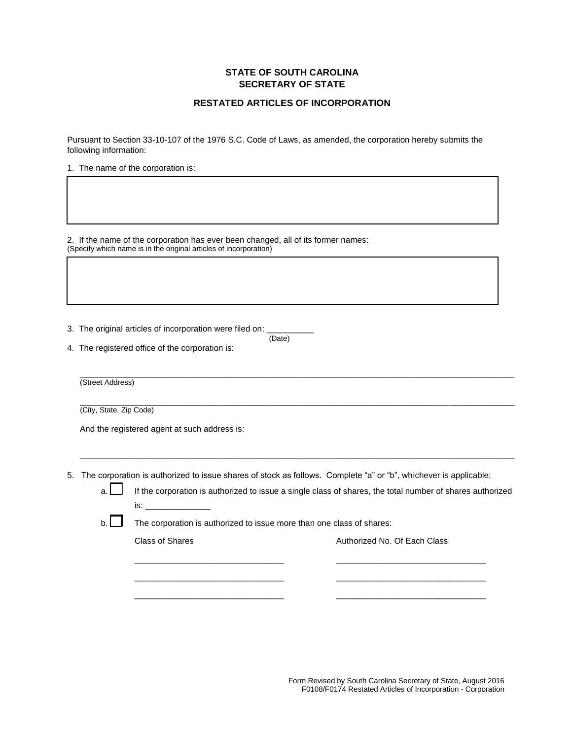## **STATE OF SOUTH CAROLINA SECRETARY OF STATE**

## **RESTATED ARTICLES OF INCORPORATION**

Pursuant to Section 33-10-107 of the 1976 S.C. Code of Laws, as amended, the corporation hereby submits the following information:

1. The name of the corporation is:

2. If the name of the corporation has ever been changed, all of its former names: (Specify which name is in the original articles of incorporation)

3. The original articles of incorporation were filed on:  $\frac{1}{(Date)}$ (Date)

4. The registered office of the corporation is:

(Street Address)

 $\_$  ,  $\_$  ,  $\_$  ,  $\_$  ,  $\_$  ,  $\_$  ,  $\_$  ,  $\_$  ,  $\_$  ,  $\_$  ,  $\_$  ,  $\_$  ,  $\_$  ,  $\_$  ,  $\_$  ,  $\_$  ,  $\_$  ,  $\_$  ,  $\_$  ,  $\_$  ,  $\_$  ,  $\_$  ,  $\_$  ,  $\_$  ,  $\_$  ,  $\_$  ,  $\_$  ,  $\_$  ,  $\_$  ,  $\_$  ,  $\_$  ,  $\_$  ,  $\_$  ,  $\_$  ,  $\_$  ,  $\_$  ,  $\_$  , (City, State, Zip Code)

And the registered agent at such address is:

5. The corporation is authorized to issue shares of stock as follows. Complete "a" or "b", whichever is applicable:

 $\overline{a}$  , and the state of the state of the state of the state of the state of the state of the state of the state of the state of the state of the state of the state of the state of the state of the state of the state o

 $\overline{a_1}$  ,  $\overline{a_2}$  ,  $\overline{a_3}$  ,  $\overline{a_4}$  ,  $\overline{a_5}$  ,  $\overline{a_6}$  ,  $\overline{a_7}$  ,  $\overline{a_8}$  ,  $\overline{a_9}$  ,  $\overline{a_9}$  ,  $\overline{a_9}$  ,  $\overline{a_9}$  ,  $\overline{a_9}$  ,  $\overline{a_9}$  ,  $\overline{a_9}$  ,  $\overline{a_9}$  ,  $\overline{a_9}$  ,

a. If the corporation is authorized to issue a single class of shares, the total number of shares authorized  $is:$ 

\_\_\_\_\_\_\_\_\_\_\_\_\_\_\_\_\_\_\_\_\_\_\_\_\_\_\_\_\_\_\_\_ \_\_\_\_\_\_\_\_\_\_\_\_\_\_\_\_\_\_\_\_\_\_\_\_\_\_\_\_\_\_\_\_ \_\_\_\_\_\_\_\_\_\_\_\_\_\_\_\_\_\_\_\_\_\_\_\_\_\_\_\_\_\_\_\_ \_\_\_\_\_\_\_\_\_\_\_\_\_\_\_\_\_\_\_\_\_\_\_\_\_\_\_\_\_\_\_\_ \_\_\_\_\_\_\_\_\_\_\_\_\_\_\_\_\_\_\_\_\_\_\_\_\_\_\_\_\_\_\_\_ \_\_\_\_\_\_\_\_\_\_\_\_\_\_\_\_\_\_\_\_\_\_\_\_\_\_\_\_\_\_\_\_

b. **The corporation is authorized to issue more than one class of shares:** 

Class of Shares **Authorized No. Of Each Class**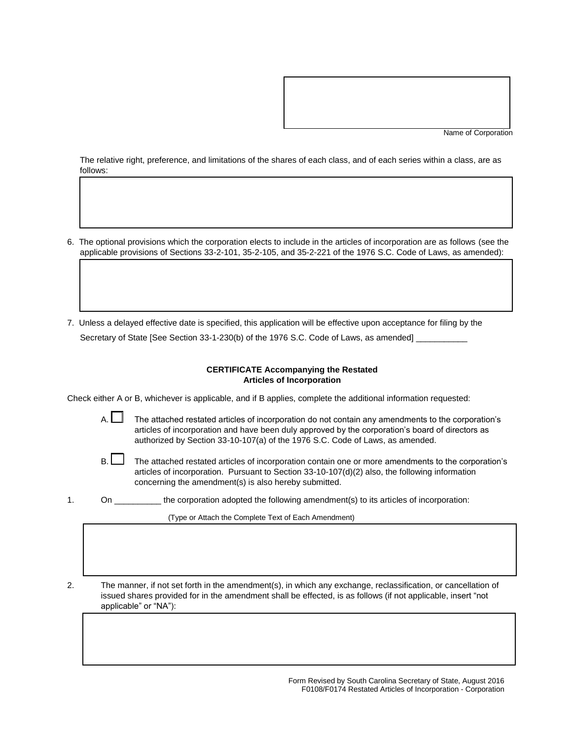Name of Corporation

The relative right, preference, and limitations of the shares of each class, and of each series within a class, are as follows:

- 6. The optional provisions which the corporation elects to include in the articles of incorporation are as follows (see the applicable provisions of Sections 33-2-101, 35-2-105, and 35-2-221 of the 1976 S.C. Code of Laws, as amended):
- 7. Unless a delayed effective date is specified, this application will be effective upon acceptance for filing by the Secretary of State [See Section 33-1-230(b) of the 1976 S.C. Code of Laws, as amended]

## **CERTIFICATE Accompanying the Restated Articles of Incorporation**

Check either A or B, whichever is applicable, and if B applies, complete the additional information requested:

 $\overline{\phantom{a}}$ 

A. The attached restated articles of incorporation do not contain any amendments to the corporation's articles of incorporation and have been duly approved by the corporation's board of directors as authorized by Section 33-10-107(a) of the 1976 S.C. Code of Laws, as amended.

- B. The attached restated articles of incorporation contain one or more amendments to the corporation's articles of incorporation. Pursuant to Section 33-10-107(d)(2) also, the following information concerning the amendment(s) is also hereby submitted.
- 1. On \_\_\_\_\_\_\_\_\_\_ the corporation adopted the following amendment(s) to its articles of incorporation:

(Type or Attach the Complete Text of Each Amendment)

2. The manner, if not set forth in the amendment(s), in which any exchange, reclassification, or cancellation of issued shares provided for in the amendment shall be effected, is as follows (if not applicable, insert "not applicable" or "NA"):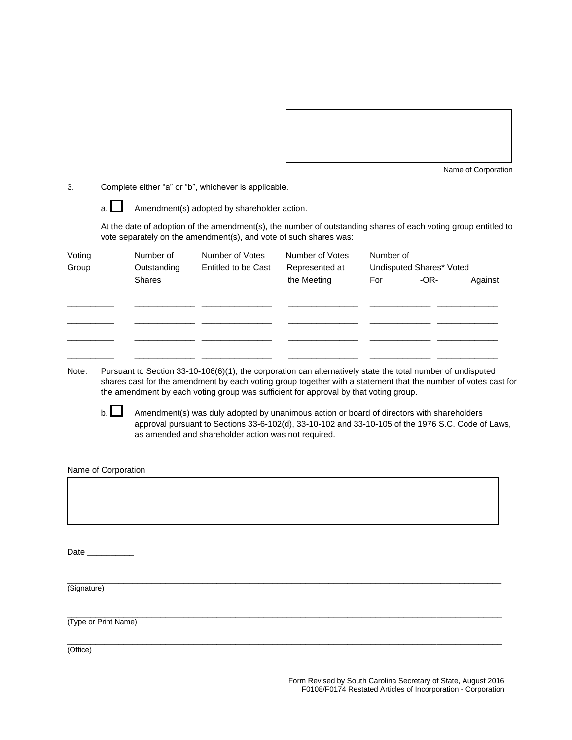

Name of Corporation

3. Complete either "a" or "b", whichever is applicable.

 $a.$  Amendment(s) adopted by shareholder action.

At the date of adoption of the amendment(s), the number of outstanding shares of each voting group entitled to vote separately on the amendment(s), and vote of such shares was:

| Voting<br>Group | Number of<br>Outstanding | Number of Votes<br>Entitled to be Cast | Number of Votes<br>Represented at | Number of<br>Undisputed Shares* Voted |                   |  |
|-----------------|--------------------------|----------------------------------------|-----------------------------------|---------------------------------------|-------------------|--|
|                 | <b>Shares</b>            |                                        | the Meeting                       | For                                   | $-OR-$<br>Against |  |
|                 |                          |                                        |                                   |                                       |                   |  |
|                 |                          |                                        |                                   |                                       |                   |  |

Note: Pursuant to Section 33-10-106(6)(1), the corporation can alternatively state the total number of undisputed shares cast for the amendment by each voting group together with a statement that the number of votes cast for the amendment by each voting group was sufficient for approval by that voting group.

b.  $\Box$  Amendment(s) was duly adopted by unanimous action or board of directors with shareholders approval pursuant to Sections 33-6-102(d), 33-10-102 and 33-10-105 of the 1976 S.C. Code of Laws, as amended and shareholder action was not required.

Name of Corporation

Date

 $\overline{a}$  , and the state of the state of the state of the state of the state of the state of the state of the state of the state of the state of the state of the state of the state of the state of the state of the state o (Signature)

 $\overline{a}$  , and the state of the state of the state of the state of the state of the state of the state of the state of the state of the state of the state of the state of the state of the state of the state of the state o (Type or Print Name)

 $\overline{a}$  , and the state of the state of the state of the state of the state of the state of the state of the state of the state of the state of the state of the state of the state of the state of the state of the state o (Office)